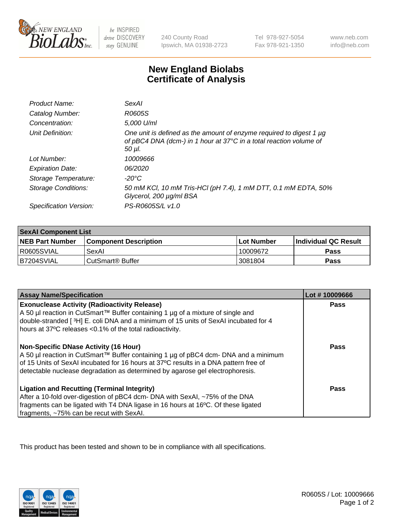

be INSPIRED drive DISCOVERY stay GENUINE

240 County Road Ipswich, MA 01938-2723

Tel 978-927-5054 Fax 978-921-1350

www.neb.com info@neb.com

## **New England Biolabs Certificate of Analysis**

| Product Name:           | SexAI                                                                                                                                               |
|-------------------------|-----------------------------------------------------------------------------------------------------------------------------------------------------|
| Catalog Number:         | R0605S                                                                                                                                              |
| Concentration:          | 5,000 U/ml                                                                                                                                          |
| Unit Definition:        | One unit is defined as the amount of enzyme required to digest 1 µg<br>of pBC4 DNA (dcm-) in 1 hour at 37°C in a total reaction volume of<br>50 µl. |
| Lot Number:             | 10009666                                                                                                                                            |
| <b>Expiration Date:</b> | 06/2020                                                                                                                                             |
| Storage Temperature:    | -20°C                                                                                                                                               |
| Storage Conditions:     | 50 mM KCl, 10 mM Tris-HCl (pH 7.4), 1 mM DTT, 0.1 mM EDTA, 50%<br>Glycerol, 200 µg/ml BSA                                                           |
| Specification Version:  | PS-R0605S/L v1.0                                                                                                                                    |

| <b>SexAl Component List</b> |                         |            |                             |  |
|-----------------------------|-------------------------|------------|-----------------------------|--|
| <b>NEB Part Number</b>      | l Component Description | Lot Number | <b>Individual QC Result</b> |  |
| I R0605SVIAL                | SexAl                   | 10009672   | Pass                        |  |
| IB7204SVIAL                 | l CutSmart® Buffer      | 13081804   | Pass                        |  |

| <b>Assay Name/Specification</b>                                                                                                                                                                                                                                                                         | Lot #10009666 |
|---------------------------------------------------------------------------------------------------------------------------------------------------------------------------------------------------------------------------------------------------------------------------------------------------------|---------------|
| <b>Exonuclease Activity (Radioactivity Release)</b><br>A 50 µl reaction in CutSmart™ Buffer containing 1 µg of a mixture of single and<br>double-stranded [3H] E. coli DNA and a minimum of 15 units of SexAI incubated for 4<br>hours at 37°C releases <0.1% of the total radioactivity.               | Pass          |
| Non-Specific DNase Activity (16 Hour)<br>  A 50 µl reaction in CutSmart™ Buffer containing 1 µg of pBC4 dcm- DNA and a minimum<br>of 15 Units of SexAI incubated for 16 hours at 37°C results in a DNA pattern free of<br>detectable nuclease degradation as determined by agarose gel electrophoresis. | Pass          |
| <b>Ligation and Recutting (Terminal Integrity)</b><br>After a 10-fold over-digestion of pBC4 dcm- DNA with SexAI, ~75% of the DNA<br>fragments can be ligated with T4 DNA ligase in 16 hours at 16°C. Of these ligated<br>fragments, ~75% can be recut with SexAI.                                      | Pass          |

This product has been tested and shown to be in compliance with all specifications.